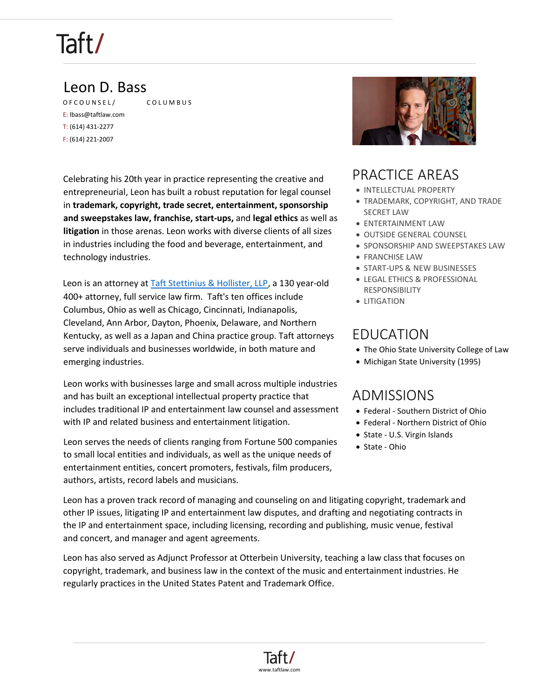### Leon D. Bass

OF COUN[S](https://www.taftlaw.com/about/offices/columbus)EL / COLUMBUS E: lbass@taftlaw.com T: (614) 431-2277 F: (614) 221-2007

Celebrating his 20th year in practice representing the creative and entrepreneurial, Leon has built a robust reputation for legal counsel in **trademark, copyright, trade secret, entertainment, sponsorship and sweepstakes law, franchise, start-ups,** and **legal ethics** as well as **litigation** in those arenas. Leon works with diverse clients of all sizes in industries including the food and beverage, entertainment, and technology industries.

Leon is an attorney at **Taft Stettinius & Hollister, LLP**, a 130 year-old 400+ attorney, full service law firm. Taft's ten offices include Columbus, Ohio as well as Chicago, Cincinnati, Indianapolis, Cleveland, Ann Arbor, Dayton, Phoenix, Delaware, and Northern Kentucky, as well as a Japan and China practice group. Taft attorneys serve individuals and businesses worldwide, in both mature and emerging industries.

Leon works with businesses large and small across multiple industries and has built an exceptional intellectual property practice that includes traditional IP and entertainment law counsel and assessment with IP and related business and entertainment litigation.

Leon serves the needs of clients ranging from Fortune 500 companies to small local entities and individuals, as well as the unique needs of entertainment entities, concert promoters, festivals, film producers, authors, artists, record labels and musicians.



### PRACTICE AREAS

- INTELLECTUAL PROPERTY
- TRADEMARK, COPYRIGHT, AND TRADE SECRET LAW
- ENTERTAINMENT LAW
- OUTSIDE GENERAL COUNSEL
- SPONSORSHIP AND SWEEPSTAKES LAW
- FRANCHISE LAW
- START-UPS & NEW BUSINESSES
- LEGAL ETHICS & PROFESSIONAL RESPONSIBILITY
- LITIGATION

### EDUCATION

- The Ohio State University College of Law
- Michigan State University (1995)

### ADMISSIONS

- Federal Southern District of Ohio
- Federal Northern District of Ohio
- State U.S. Virgin Islands
- State Ohio

Leon has a proven track record of managing and counseling on and litigating copyright, trademark and other IP issues, litigating IP and entertainment law disputes, and drafting and negotiating contracts in the IP and entertainment space, including licensing, recording and publishing, music venue, festival and concert, and manager and agent agreements.

Leon has also served as Adjunct Professor at Otterbein University, teaching a law class that focuses on copyright, trademark, and business law in the context of the music and entertainment industries. He regularly practices in the United States Patent and Trademark Office.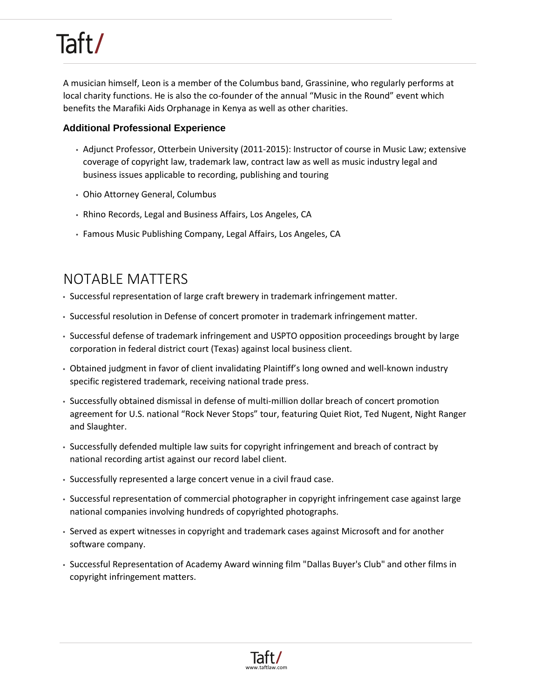A musician himself, Leon is a member of the Columbus band, Grassinine, who regularly performs at local charity functions. He is also the co-founder of the annual "Music in the Round" event which benefits the Marafiki Aids Orphanage in Kenya as well as other charities.

#### **Additional Professional Experience**

- Adjunct Professor, Otterbein University (2011-2015): Instructor of course in Music Law; extensive coverage of copyright law, trademark law, contract law as well as music industry legal and business issues applicable to recording, publishing and touring
- Ohio Attorney General, Columbus
- Rhino Records, Legal and Business Affairs, Los Angeles, CA
- Famous Music Publishing Company, Legal Affairs, Los Angeles, CA

### NOTABLE MATTERS

- Successful representation of large craft brewery in trademark infringement matter.
- Successful resolution in Defense of concert promoter in trademark infringement matter.
- Successful defense of trademark infringement and USPTO opposition proceedings brought by large corporation in federal district court (Texas) against local business client.
- Obtained judgment in favor of client invalidating Plaintiff's long owned and well-known industry specific registered trademark, receiving national trade press.
- Successfully obtained dismissal in defense of multi-million dollar breach of concert promotion agreement for U.S. national "Rock Never Stops" tour, featuring Quiet Riot, Ted Nugent, Night Ranger and Slaughter.
- Successfully defended multiple law suits for copyright infringement and breach of contract by national recording artist against our record label client.
- Successfully represented a large concert venue in a civil fraud case.
- Successful representation of commercial photographer in copyright infringement case against large national companies involving hundreds of copyrighted photographs.
- Served as expert witnesses in copyright and trademark cases against Microsoft and for another software company.
- Successful Representation of Academy Award winning film "Dallas Buyer's Club" and other films in copyright infringement matters.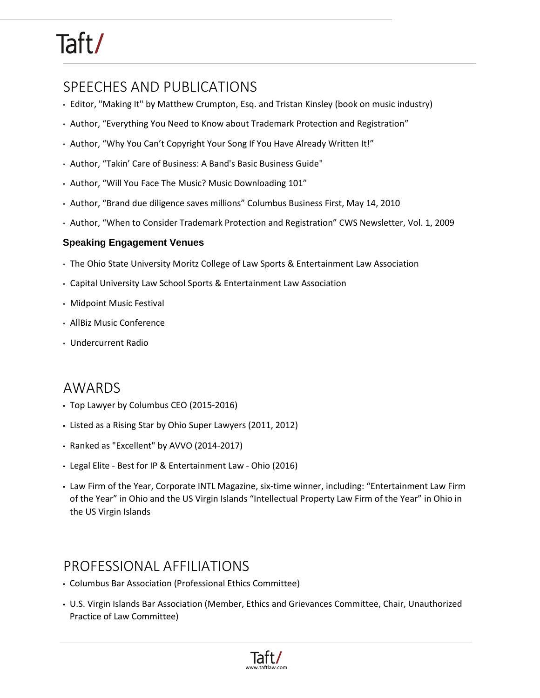## SPEECHES AND PUBLICATIONS

- Editor, "Making It" by Matthew Crumpton, Esq. and Tristan Kinsley (book on music industry)
- Author, "Everything You Need to Know about Trademark Protection and Registration"
- Author, "Why You Can't Copyright Your Song If You Have Already Written It!"
- Author, "Takin' Care of Business: A Band's Basic Business Guide"
- Author, "Will You Face The Music? Music Downloading 101"
- Author, "Brand due diligence saves millions" Columbus Business First, May 14, 2010
- Author, "When to Consider Trademark Protection and Registration" CWS Newsletter, Vol. 1, 2009

#### **Speaking Engagement Venues**

- The Ohio State University Moritz College of Law Sports & Entertainment Law Association
- Capital University Law School Sports & Entertainment Law Association
- Midpoint Music Festival
- AllBiz Music Conference
- Undercurrent Radio

#### AWARDS

- Top Lawyer by Columbus CEO (2015-2016)
- [Listed as a Rising Star by Ohio Super Lawyers \(2011, 2012\)](http://www.superlawyers.com/index.html)
- Ranked as "Excellent" by AVVO (2014-2017)
- Legal Elite Best for IP & Entertainment Law Ohio (2016)
- Law Firm of the Year, Corporate INTL Magazine, six-time winner, including: "Entertainment Law Firm of the Year" in Ohio and the US Virgin Islands "Intellectual Property Law Firm of the Year" in Ohio in the US Virgin Islands

#### PROFESSIONAL AFFILIATIONS

- Columbus Bar Association (Professional Ethics Committee)
- U.S. Virgin Islands Bar Association (Member, Ethics and Grievances Committee, Chair, Unauthorized Practice of Law Committee)